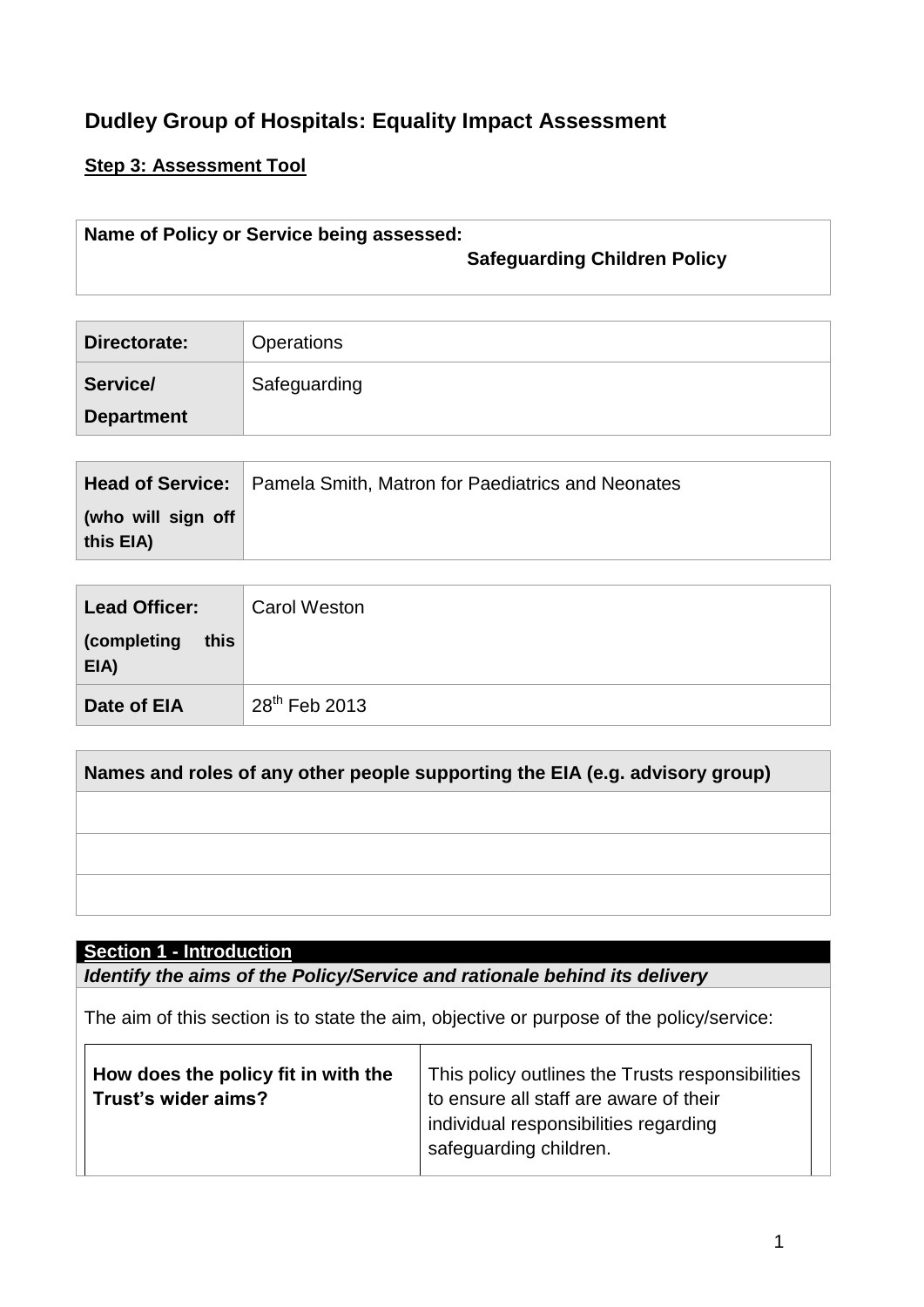# **Dudley Group of Hospitals: Equality Impact Assessment**

## **Step 3: Assessment Tool**

## **Name of Policy or Service being assessed: Safeguarding Children Policy**

**Directorate: Operations Service/ Department Safeguarding** 

|                                 | <b>Head of Service:</b> Pamela Smith, Matron for Paediatrics and Neonates |
|---------------------------------|---------------------------------------------------------------------------|
| (who will sign off<br>this EIA) |                                                                           |

| <b>Lead Officer:</b>        | <b>Carol Weston</b> |
|-----------------------------|---------------------|
| (completing<br>this<br>EIA) |                     |
| Date of EIA                 | $28^{th}$ Feb 2013  |

## **Names and roles of any other people supporting the EIA (e.g. advisory group)**

### **Section 1 - Introduction**

*Identify the aims of the Policy/Service and rationale behind its delivery*

The aim of this section is to state the aim, objective or purpose of the policy/service:

| How does the policy fit in with the<br>Trust's wider aims? | This policy outlines the Trusts responsibilities<br>to ensure all staff are aware of their<br>individual responsibilities regarding<br>safeguarding children. |
|------------------------------------------------------------|---------------------------------------------------------------------------------------------------------------------------------------------------------------|
|                                                            |                                                                                                                                                               |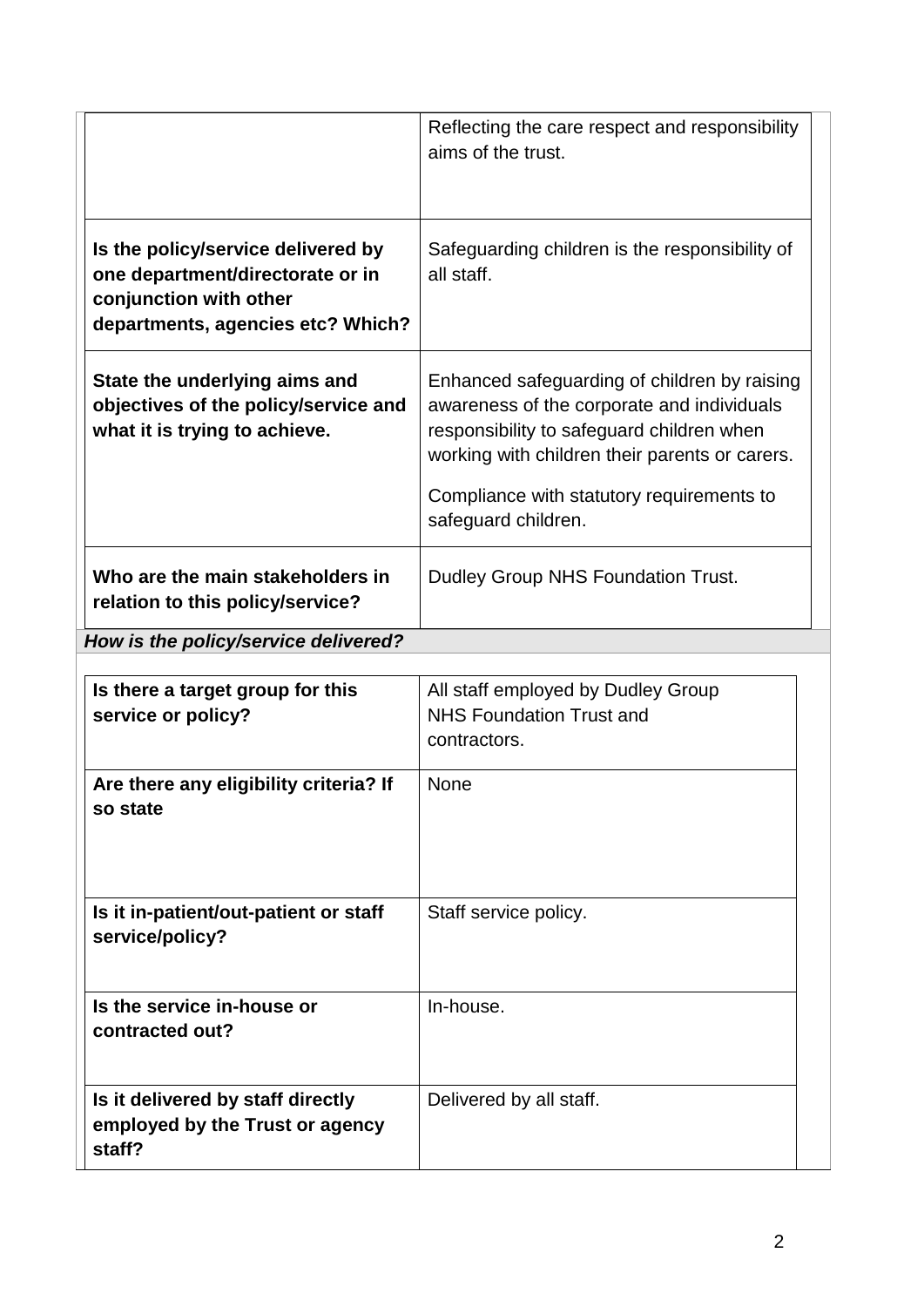|                                                                                                                                       | Reflecting the care respect and responsibility<br>aims of the trust.                                                                                                                                                                                          |
|---------------------------------------------------------------------------------------------------------------------------------------|---------------------------------------------------------------------------------------------------------------------------------------------------------------------------------------------------------------------------------------------------------------|
| Is the policy/service delivered by<br>one department/directorate or in<br>conjunction with other<br>departments, agencies etc? Which? | Safeguarding children is the responsibility of<br>all staff.                                                                                                                                                                                                  |
| State the underlying aims and<br>objectives of the policy/service and<br>what it is trying to achieve.                                | Enhanced safeguarding of children by raising<br>awareness of the corporate and individuals<br>responsibility to safeguard children when<br>working with children their parents or carers.<br>Compliance with statutory requirements to<br>safeguard children. |
| Who are the main stakeholders in<br>relation to this policy/service?                                                                  | Dudley Group NHS Foundation Trust.                                                                                                                                                                                                                            |

*How is the policy/service delivered?*

| Is there a target group for this<br>service or policy?                         | All staff employed by Dudley Group<br><b>NHS Foundation Trust and</b><br>contractors. |
|--------------------------------------------------------------------------------|---------------------------------------------------------------------------------------|
| Are there any eligibility criteria? If<br>so state                             | <b>None</b>                                                                           |
| Is it in-patient/out-patient or staff<br>service/policy?                       | Staff service policy.                                                                 |
| Is the service in-house or<br>contracted out?                                  | In-house.                                                                             |
| Is it delivered by staff directly<br>employed by the Trust or agency<br>staff? | Delivered by all staff.                                                               |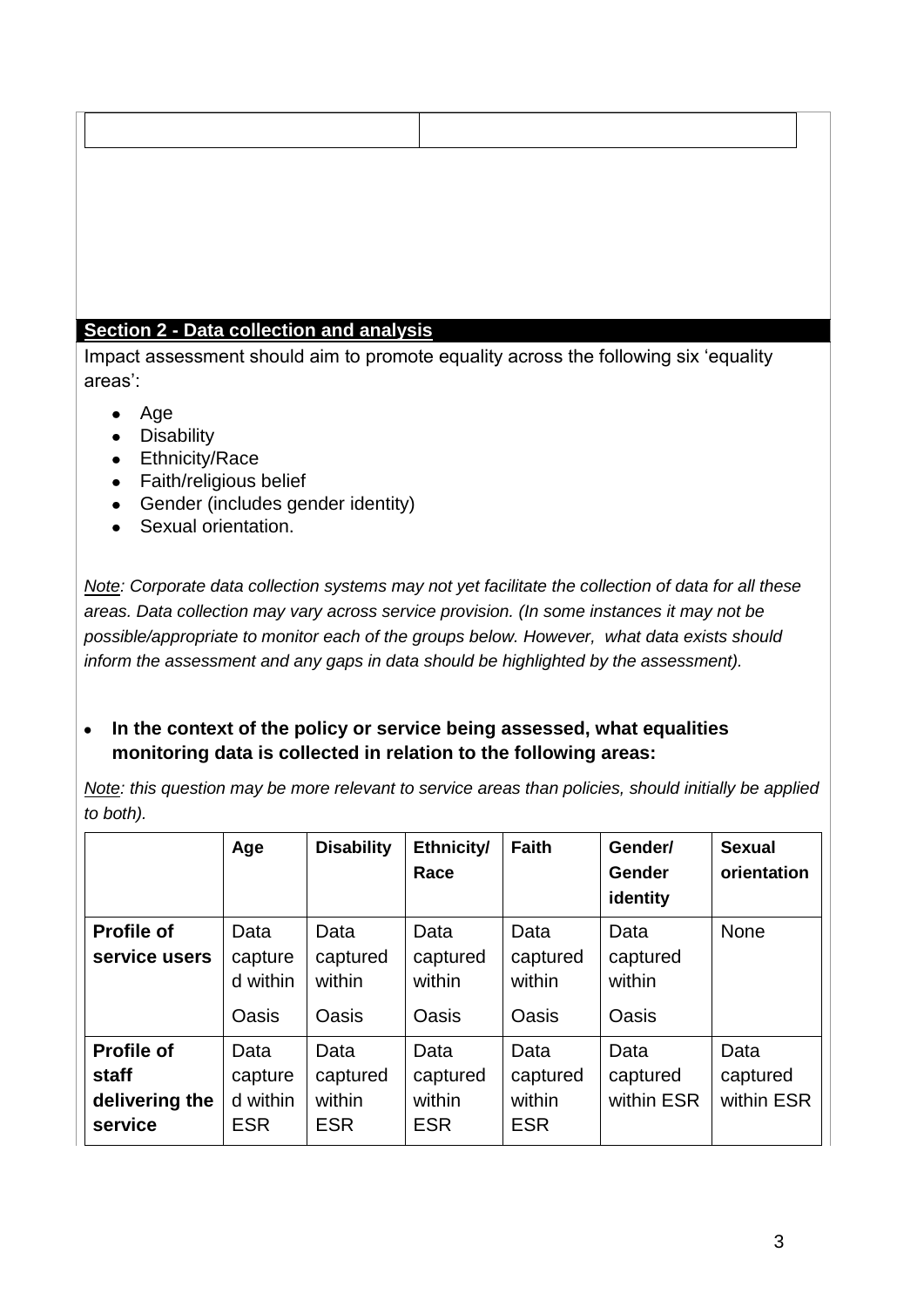### **Section 2 - Data collection and analysis**

Impact assessment should aim to promote equality across the following six 'equality areas':

- Age
- Disability
- Ethnicity/Race
- Faith/religious belief
- Gender (includes gender identity)
- Sexual orientation.

*Note: Corporate data collection systems may not yet facilitate the collection of data for all these areas. Data collection may vary across service provision. (In some instances it may not be possible/appropriate to monitor each of the groups below. However, what data exists should inform the assessment and any gaps in data should be highlighted by the assessment).* 

#### $\bullet$ **In the context of the policy or service being assessed, what equalities monitoring data is collected in relation to the following areas:**

*Note: this question may be more relevant to service areas than policies, should initially be applied to both).*

|                                                                | Age                                       | <b>Disability</b>                          | Ethnicity/<br>Race                         | <b>Faith</b>                             | Gender/<br>Gender<br>identity       | <b>Sexual</b><br>orientation   |
|----------------------------------------------------------------|-------------------------------------------|--------------------------------------------|--------------------------------------------|------------------------------------------|-------------------------------------|--------------------------------|
| <b>Profile of</b><br>service users                             | Data<br>capture<br>d within<br>Oasis      | Data<br>captured<br>within<br><b>Oasis</b> | Data<br>captured<br>within<br><b>Oasis</b> | Data<br>captured<br>within<br>Oasis      | Data<br>captured<br>within<br>Oasis | <b>None</b>                    |
| <b>Profile of</b><br><b>staff</b><br>delivering the<br>service | Data<br>capture<br>d within<br><b>ESR</b> | Data<br>captured<br>within<br><b>ESR</b>   | Data<br>captured<br>within<br><b>ESR</b>   | Data<br>captured<br>within<br><b>ESR</b> | Data<br>captured<br>within ESR      | Data<br>captured<br>within ESR |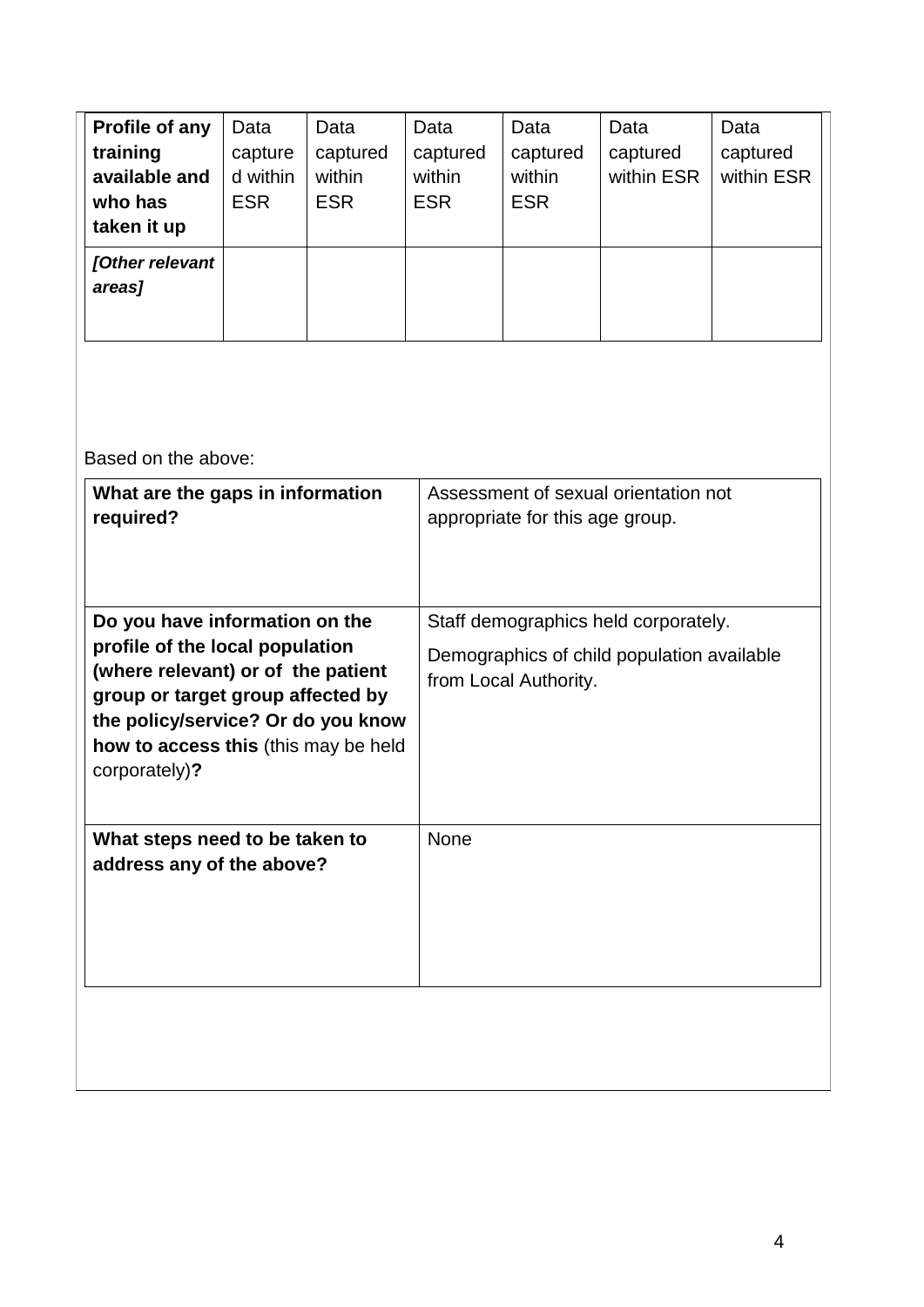| Profile of any<br>training<br>available and<br>who has<br>taken it up | Data<br>capture<br>d within<br><b>ESR</b> | Data<br>captured<br>within<br><b>ESR</b> | Data<br>captured<br>within<br><b>ESR</b> | Data<br>captured<br>within<br><b>ESR</b> | Data<br>captured<br>within ESR | Data<br>captured<br>within ESR |
|-----------------------------------------------------------------------|-------------------------------------------|------------------------------------------|------------------------------------------|------------------------------------------|--------------------------------|--------------------------------|
| [Other relevant<br>areas]                                             |                                           |                                          |                                          |                                          |                                |                                |

Based on the above:

| What are the gaps in information<br>required?                                                                                                                                                                                               | Assessment of sexual orientation not<br>appropriate for this age group.                                     |
|---------------------------------------------------------------------------------------------------------------------------------------------------------------------------------------------------------------------------------------------|-------------------------------------------------------------------------------------------------------------|
| Do you have information on the<br>profile of the local population<br>(where relevant) or of the patient<br>group or target group affected by<br>the policy/service? Or do you know<br>how to access this (this may be held<br>corporately)? | Staff demographics held corporately.<br>Demographics of child population available<br>from Local Authority. |
| What steps need to be taken to<br>address any of the above?                                                                                                                                                                                 | <b>None</b>                                                                                                 |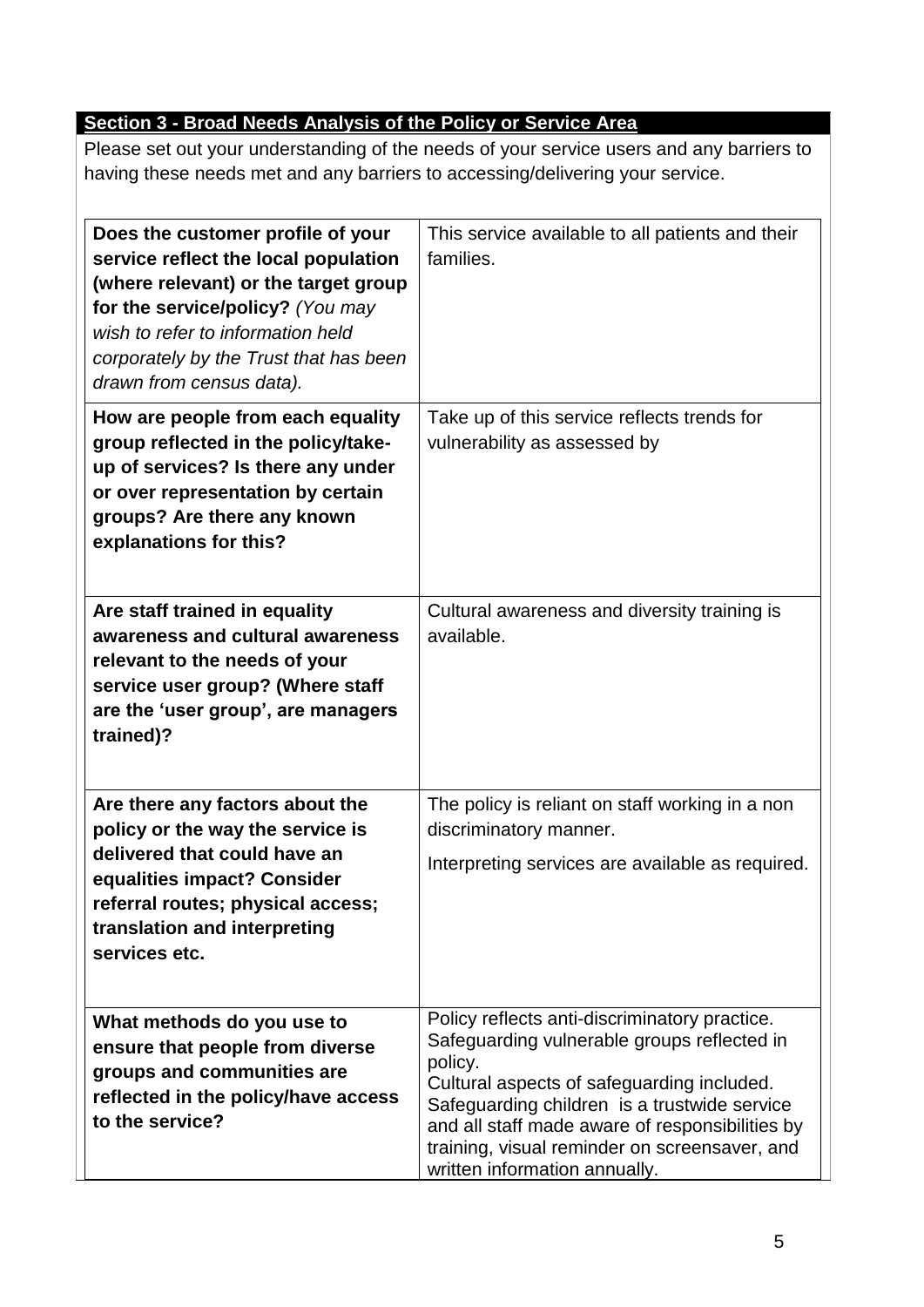# **Section 3 - Broad Needs Analysis of the Policy or Service Area**

Please set out your understanding of the needs of your service users and any barriers to having these needs met and any barriers to accessing/delivering your service.

| Does the customer profile of your<br>service reflect the local population<br>(where relevant) or the target group<br>for the service/policy? (You may<br>wish to refer to information held<br>corporately by the Trust that has been<br>drawn from census data). | This service available to all patients and their<br>families.                                                                                                                                                                                                                                                                              |
|------------------------------------------------------------------------------------------------------------------------------------------------------------------------------------------------------------------------------------------------------------------|--------------------------------------------------------------------------------------------------------------------------------------------------------------------------------------------------------------------------------------------------------------------------------------------------------------------------------------------|
| How are people from each equality<br>group reflected in the policy/take-<br>up of services? Is there any under<br>or over representation by certain<br>groups? Are there any known<br>explanations for this?                                                     | Take up of this service reflects trends for<br>vulnerability as assessed by                                                                                                                                                                                                                                                                |
| Are staff trained in equality<br>awareness and cultural awareness<br>relevant to the needs of your<br>service user group? (Where staff<br>are the 'user group', are managers<br>trained)?                                                                        | Cultural awareness and diversity training is<br>available.                                                                                                                                                                                                                                                                                 |
| Are there any factors about the<br>policy or the way the service is<br>delivered that could have an<br>equalities impact? Consider<br>referral routes; physical access;<br>translation and interpreting<br>services etc.                                         | The policy is reliant on staff working in a non<br>discriminatory manner.<br>Interpreting services are available as required.                                                                                                                                                                                                              |
| What methods do you use to<br>ensure that people from diverse<br>groups and communities are<br>reflected in the policy/have access<br>to the service?                                                                                                            | Policy reflects anti-discriminatory practice.<br>Safeguarding vulnerable groups reflected in<br>policy.<br>Cultural aspects of safeguarding included.<br>Safeguarding children is a trustwide service<br>and all staff made aware of responsibilities by<br>training, visual reminder on screensaver, and<br>written information annually. |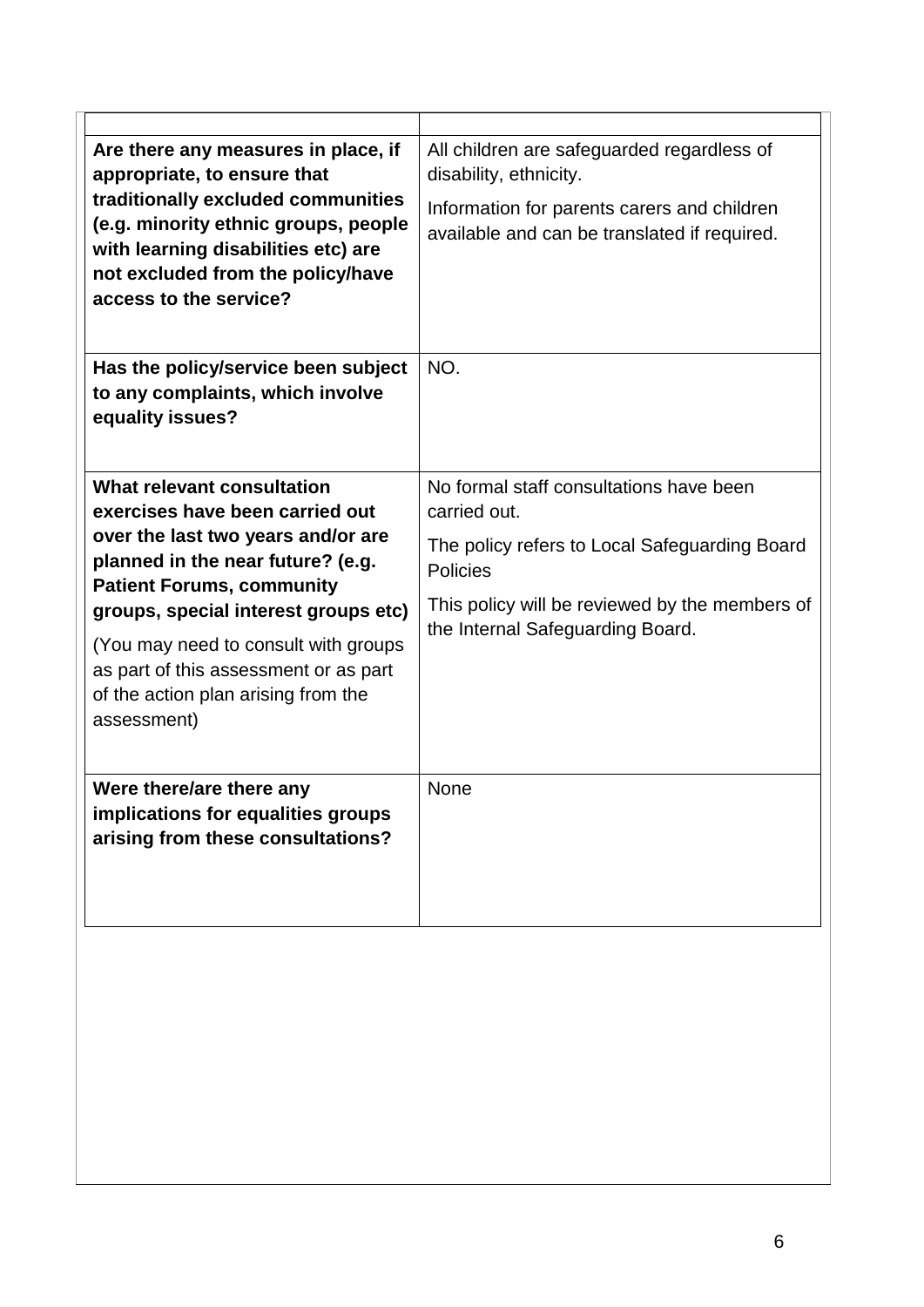| Are there any measures in place, if<br>appropriate, to ensure that<br>traditionally excluded communities<br>(e.g. minority ethnic groups, people<br>with learning disabilities etc) are<br>not excluded from the policy/have<br>access to the service?                                                                                                      | All children are safeguarded regardless of<br>disability, ethnicity.<br>Information for parents carers and children<br>available and can be translated if required.                                               |
|-------------------------------------------------------------------------------------------------------------------------------------------------------------------------------------------------------------------------------------------------------------------------------------------------------------------------------------------------------------|-------------------------------------------------------------------------------------------------------------------------------------------------------------------------------------------------------------------|
| Has the policy/service been subject<br>to any complaints, which involve<br>equality issues?                                                                                                                                                                                                                                                                 | NO.                                                                                                                                                                                                               |
| What relevant consultation<br>exercises have been carried out<br>over the last two years and/or are<br>planned in the near future? (e.g.<br><b>Patient Forums, community</b><br>groups, special interest groups etc)<br>(You may need to consult with groups<br>as part of this assessment or as part<br>of the action plan arising from the<br>assessment) | No formal staff consultations have been<br>carried out.<br>The policy refers to Local Safeguarding Board<br><b>Policies</b><br>This policy will be reviewed by the members of<br>the Internal Safeguarding Board. |
| Were there/are there any<br>implications for equalities groups<br>arising from these consultations?                                                                                                                                                                                                                                                         | <b>None</b>                                                                                                                                                                                                       |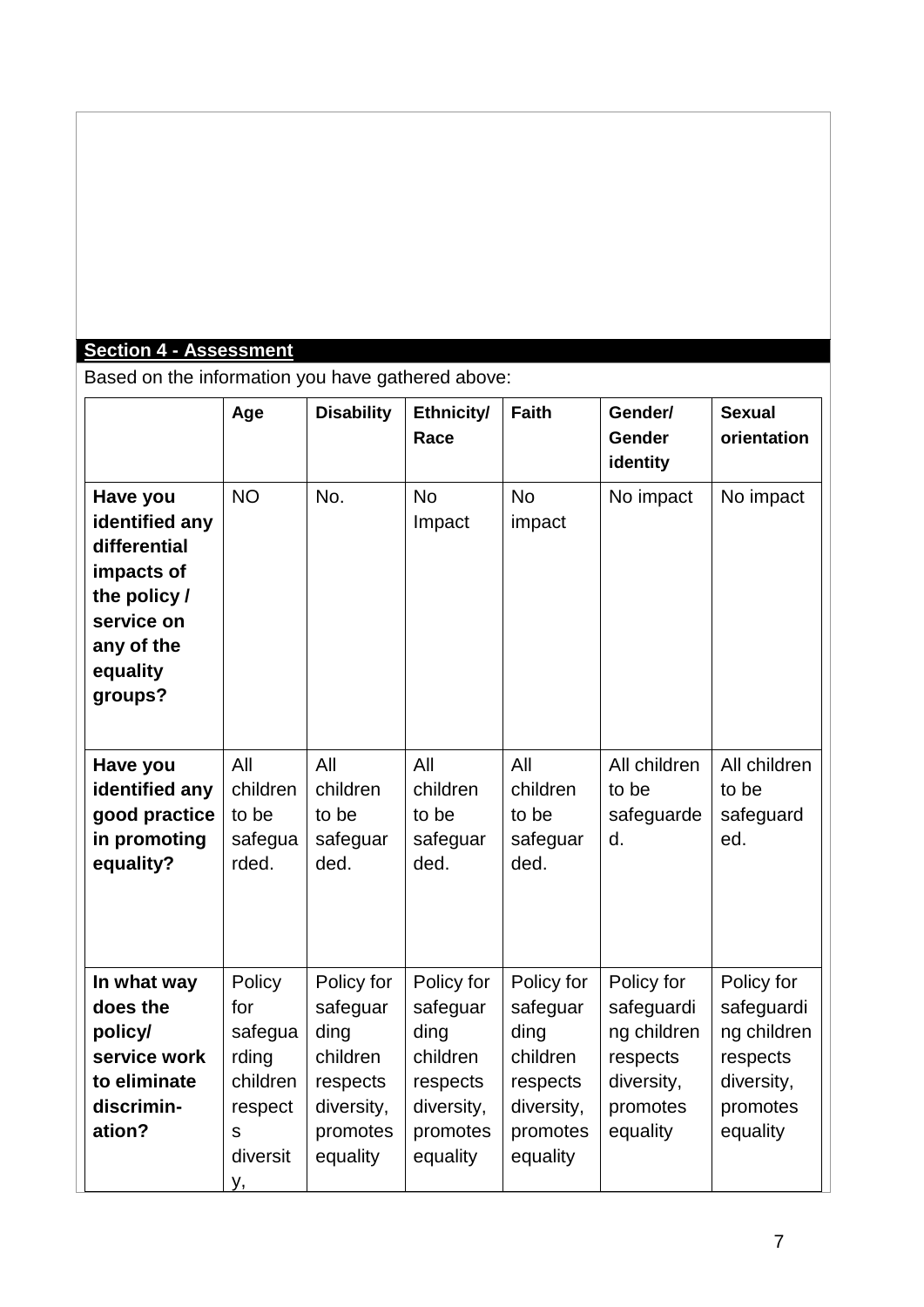# **Section 4 - Assessment**

Based on the information you have gathered above:

|                                                                                                                             | Age                                                                             | <b>Disability</b>                                                                            | Ethnicity/<br>Race                                                                           | <b>Faith</b>                                                                                 | Gender/<br><b>Gender</b><br>identity                                                      | <b>Sexual</b><br>orientation                                                              |
|-----------------------------------------------------------------------------------------------------------------------------|---------------------------------------------------------------------------------|----------------------------------------------------------------------------------------------|----------------------------------------------------------------------------------------------|----------------------------------------------------------------------------------------------|-------------------------------------------------------------------------------------------|-------------------------------------------------------------------------------------------|
| Have you<br>identified any<br>differential<br>impacts of<br>the policy /<br>service on<br>any of the<br>equality<br>groups? | <b>NO</b>                                                                       | No.                                                                                          | <b>No</b><br>Impact                                                                          | <b>No</b><br>impact                                                                          | No impact                                                                                 | No impact                                                                                 |
| Have you<br>identified any<br>good practice<br>in promoting<br>equality?                                                    | All<br>children<br>to be<br>safegua<br>rded.                                    | All<br>children<br>to be<br>safeguar<br>ded.                                                 | All<br>children<br>to be<br>safeguar<br>ded.                                                 | All<br>children<br>to be<br>safeguar<br>ded.                                                 | All children<br>to be<br>safeguarde<br>d.                                                 | All children<br>to be<br>safeguard<br>ed.                                                 |
| In what way<br>does the<br>policy/<br>service work<br>to eliminate<br>discrimin-<br>ation?                                  | Policy<br>for<br>safegua<br>rding<br>children<br>respect<br>S<br>diversit<br>у, | Policy for<br>safeguar<br>ding<br>children<br>respects<br>diversity,<br>promotes<br>equality | Policy for<br>safeguar<br>ding<br>children<br>respects<br>diversity,<br>promotes<br>equality | Policy for<br>safeguar<br>ding<br>children<br>respects<br>diversity,<br>promotes<br>equality | Policy for<br>safeguardi<br>ng children<br>respects<br>diversity,<br>promotes<br>equality | Policy for<br>safeguardi<br>ng children<br>respects<br>diversity,<br>promotes<br>equality |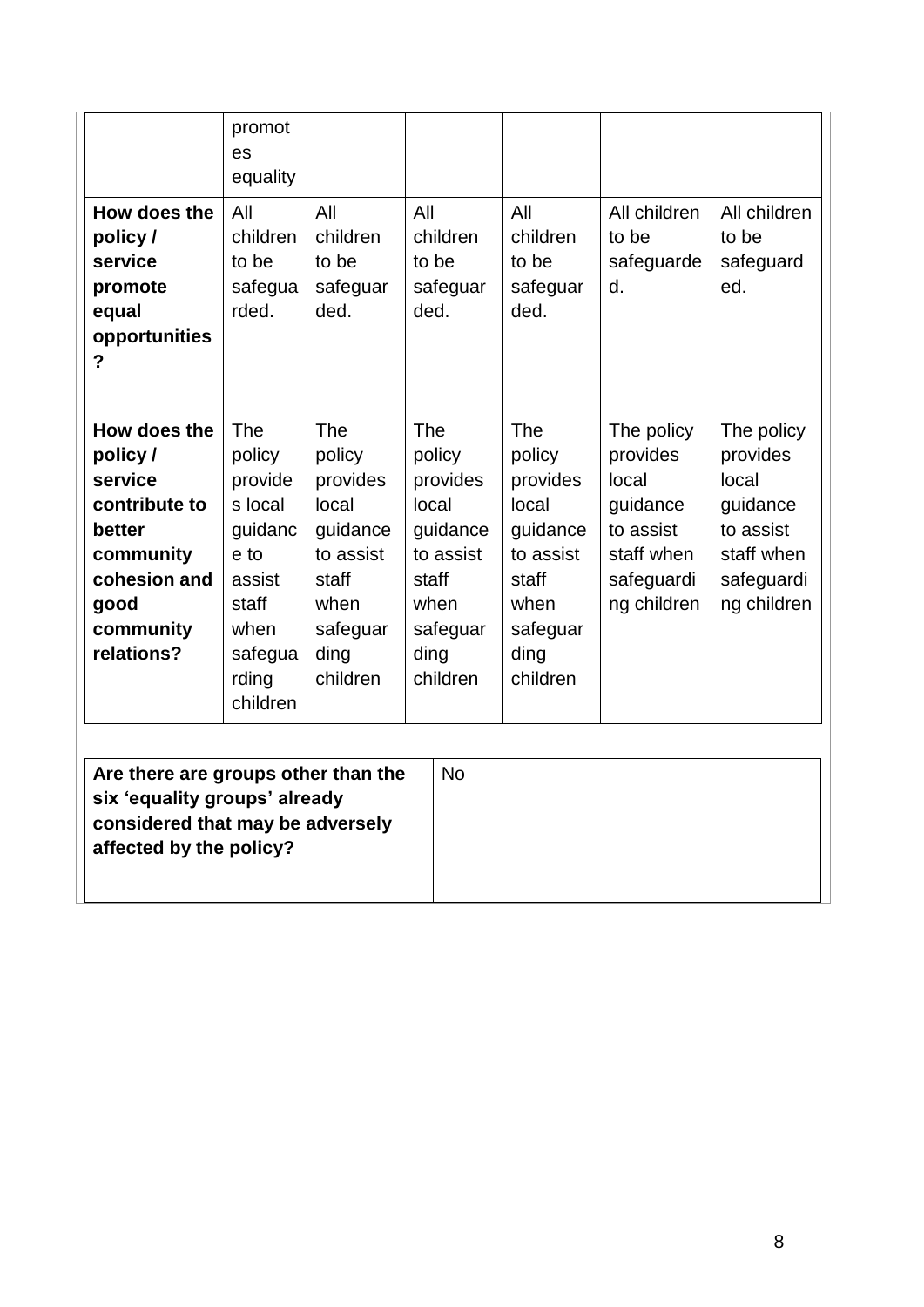| How does the<br>policy /<br>service<br>promote<br>equal<br>opportunities<br>?                                                  | promot<br>es<br>equality<br>All<br>children<br>to be<br>safegua<br>rded.                                          | All<br>children<br>to be<br>safeguar<br>ded.                                                                        | All<br>children<br>to be<br>safeguar<br>ded.                                                                 | All<br>children<br>to be<br>safeguar<br>ded.                                                                        | All children<br>to be<br>safeguarde<br>d.                                                           | All children<br>to be<br>safeguard<br>ed.                                                           |
|--------------------------------------------------------------------------------------------------------------------------------|-------------------------------------------------------------------------------------------------------------------|---------------------------------------------------------------------------------------------------------------------|--------------------------------------------------------------------------------------------------------------|---------------------------------------------------------------------------------------------------------------------|-----------------------------------------------------------------------------------------------------|-----------------------------------------------------------------------------------------------------|
| How does the<br>policy /<br>service<br>contribute to<br>better<br>community<br>cohesion and<br>good<br>community<br>relations? | The<br>policy<br>provide<br>s local<br>guidanc<br>e to<br>assist<br>staff<br>when<br>safegua<br>rding<br>children | <b>The</b><br>policy<br>provides<br>local<br>guidance<br>to assist<br>staff<br>when<br>safeguar<br>ding<br>children | The<br>policy<br>provides<br>local<br>guidance<br>to assist<br>staff<br>when<br>safeguar<br>ding<br>children | <b>The</b><br>policy<br>provides<br>local<br>guidance<br>to assist<br>staff<br>when<br>safeguar<br>ding<br>children | The policy<br>provides<br>local<br>guidance<br>to assist<br>staff when<br>safeguardi<br>ng children | The policy<br>provides<br>local<br>guidance<br>to assist<br>staff when<br>safeguardi<br>ng children |

| Are there are groups other than the<br>six 'equality groups' already<br>considered that may be adversely<br>affected by the policy? | <b>No</b> |
|-------------------------------------------------------------------------------------------------------------------------------------|-----------|
|-------------------------------------------------------------------------------------------------------------------------------------|-----------|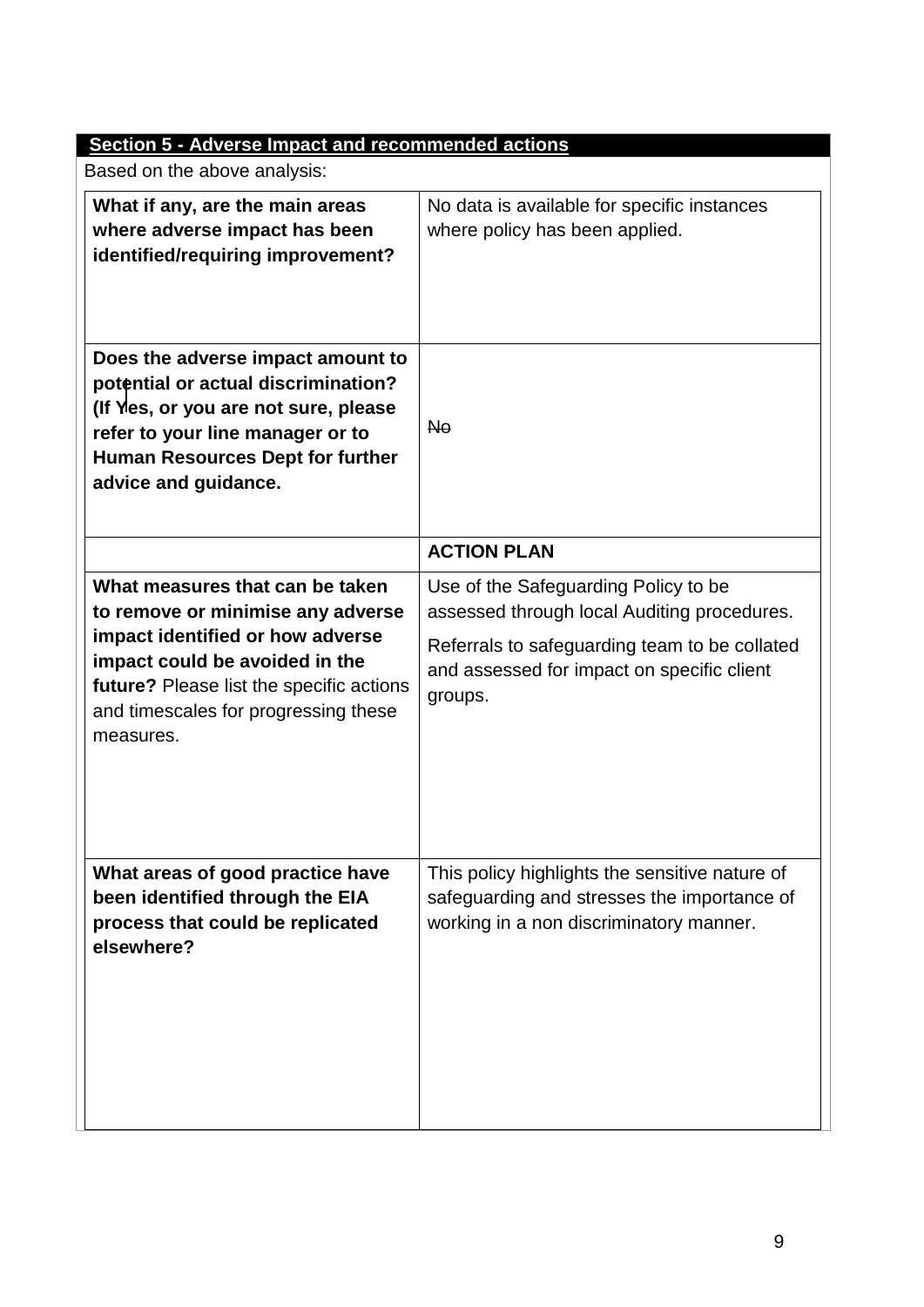| <b>Section 5 - Adverse Impact and recommended actions</b>                                                                                                                                                                                   |                                                                                                                                                                                               |
|---------------------------------------------------------------------------------------------------------------------------------------------------------------------------------------------------------------------------------------------|-----------------------------------------------------------------------------------------------------------------------------------------------------------------------------------------------|
| Based on the above analysis:                                                                                                                                                                                                                |                                                                                                                                                                                               |
| What if any, are the main areas<br>where adverse impact has been<br>identified/requiring improvement?                                                                                                                                       | No data is available for specific instances<br>where policy has been applied.                                                                                                                 |
| Does the adverse impact amount to<br>potential or actual discrimination?<br>(If Yes, or you are not sure, please<br>refer to your line manager or to<br>Human Resources Dept for further<br>advice and guidance.                            | <b>No</b>                                                                                                                                                                                     |
|                                                                                                                                                                                                                                             | <b>ACTION PLAN</b>                                                                                                                                                                            |
| What measures that can be taken<br>to remove or minimise any adverse<br>impact identified or how adverse<br>impact could be avoided in the<br>future? Please list the specific actions<br>and timescales for progressing these<br>measures. | Use of the Safeguarding Policy to be<br>assessed through local Auditing procedures.<br>Referrals to safeguarding team to be collated<br>and assessed for impact on specific client<br>groups. |
| What areas of good practice have<br>been identified through the EIA<br>process that could be replicated<br>elsewhere?                                                                                                                       | This policy highlights the sensitive nature of<br>safeguarding and stresses the importance of<br>working in a non discriminatory manner.                                                      |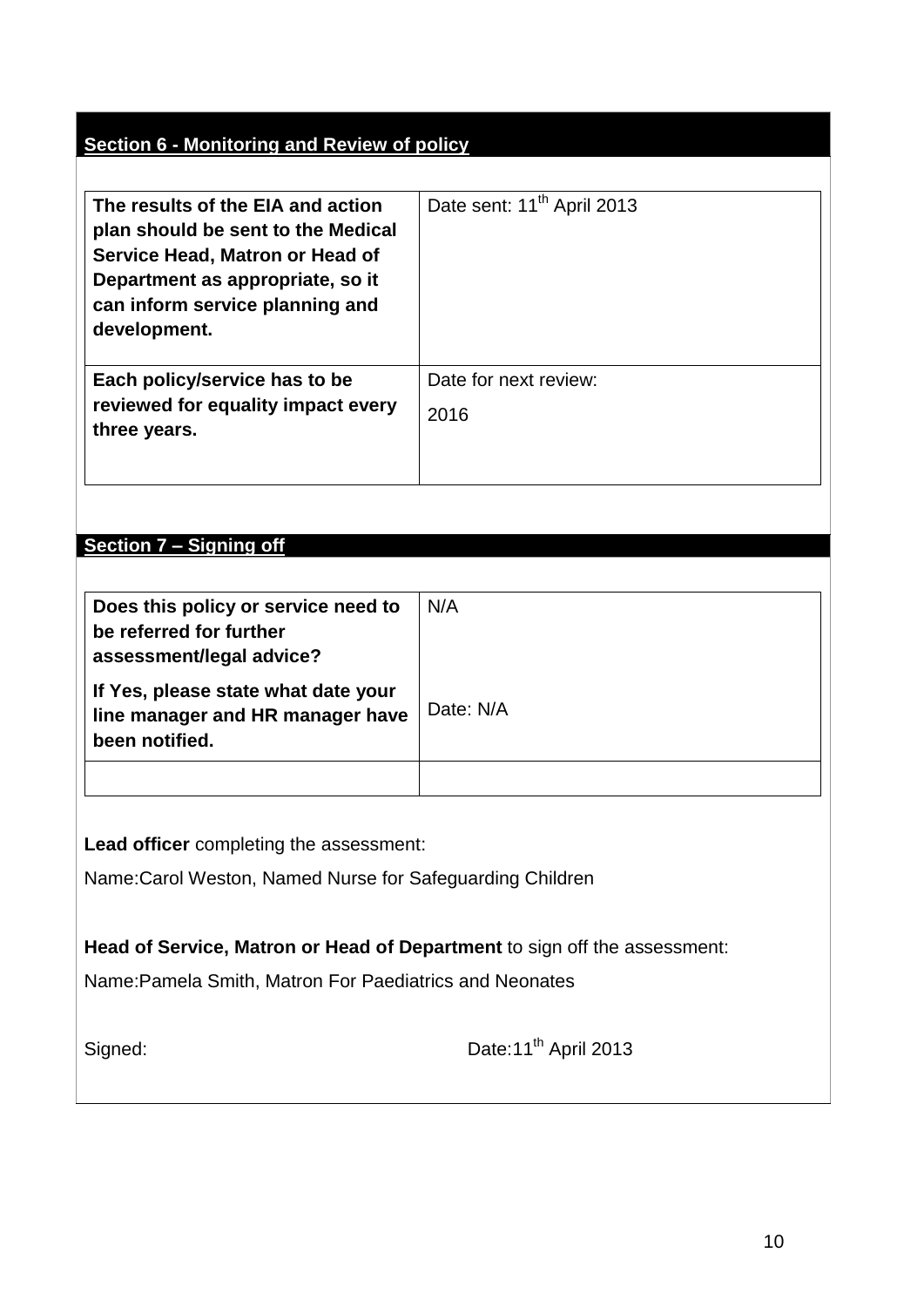# **Section 6 - Monitoring and Review of policy**

| The results of the EIA and action<br>plan should be sent to the Medical<br>Service Head, Matron or Head of<br>Department as appropriate, so it<br>can inform service planning and<br>development. | Date sent: 11 <sup>th</sup> April 2013 |
|---------------------------------------------------------------------------------------------------------------------------------------------------------------------------------------------------|----------------------------------------|
| Each policy/service has to be<br>reviewed for equality impact every<br>three years.                                                                                                               | Date for next review:<br>2016          |

## **Section 7 – Signing off**

| Does this policy or service need to<br>be referred for further<br>assessment/legal advice? | N/A       |
|--------------------------------------------------------------------------------------------|-----------|
| If Yes, please state what date your<br>line manager and HR manager have<br>been notified.  | Date: N/A |
|                                                                                            |           |

**Lead officer** completing the assessment:

Name:Carol Weston, Named Nurse for Safeguarding Children

**Head of Service, Matron or Head of Department** to sign off the assessment:

Name:Pamela Smith, Matron For Paediatrics and Neonates

| Signed: |
|---------|
|---------|

Date: 11<sup>th</sup> April 2013